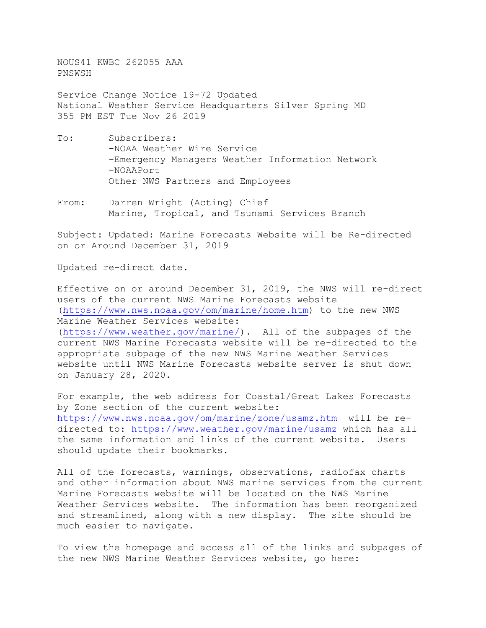NOUS41 KWBC 262055 AAA PNSWSH

Service Change Notice 19-72 Updated National Weather Service Headquarters Silver Spring MD 355 PM EST Tue Nov 26 2019

- To: Subscribers: -NOAA Weather Wire Service -Emergency Managers Weather Information Network -NOAAPort Other NWS Partners and Employees
- From: Darren Wright (Acting) Chief Marine, Tropical, and Tsunami Services Branch

Subject: Updated: Marine Forecasts Website will be Re-directed on or Around December 31, 2019

Updated re-direct date.

Effective on or around December 31, 2019, the NWS will re-direct users of the current NWS Marine Forecasts website [\(https://www.nws.noaa.gov/om/marine/home.htm\)](https://www.nws.noaa.gov/om/marine/home.htm) to the new NWS Marine Weather Services website: [\(https://www.weather.gov/marine/\).](https://www.weather.gov/marine/) All of the subpages of the current NWS Marine Forecasts website will be re-directed to the appropriate subpage of the new NWS Marine Weather Services website until NWS Marine Forecasts website server is shut down on January 28, 2020.

For example, the web address for Coastal/Great Lakes Forecasts by Zone section of the current website: <https://www.nws.noaa.gov/om/marine/zone/usamz.htm>will be redirected to[: https://www.weather.gov/marine/usamz](https://www.weather.gov/marine/usamz) which has all the same information and links of the current website. Users should update their bookmarks.

All of the forecasts, warnings, observations, radiofax charts and other information about NWS marine services from the current Marine Forecasts website will be located on the NWS Marine Weather Services website. The information has been reorganized<br>and streamlined, along with a new display. The site should be and streamlined, along with a new display. much easier to navigate.

To view the homepage and access all of the links and subpages of the new NWS Marine Weather Services website, go here: